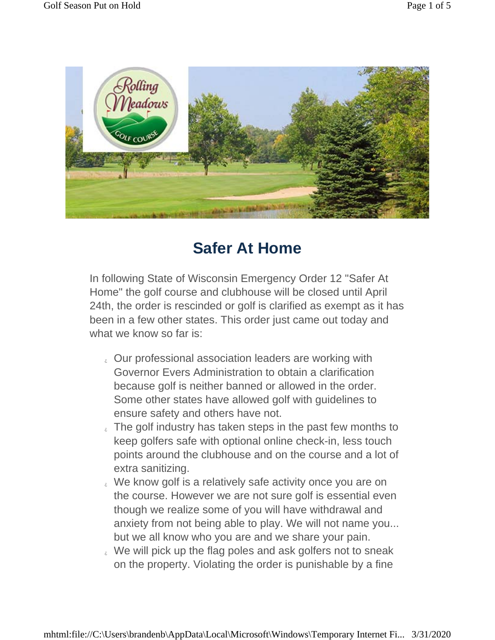

## **Safer At Home**

In following State of Wisconsin Emergency Order 12 "Safer At Home" the golf course and clubhouse will be closed until April 24th, the order is rescinded or golf is clarified as exempt as it has been in a few other states. This order just came out today and what we know so far is:

- Our professional association leaders are working with Governor Evers Administration to obtain a clarification because golf is neither banned or allowed in the order. Some other states have allowed golf with guidelines to ensure safety and others have not.
- If the golf industry has taken steps in the past few months to keep golfers safe with optional online check-in, less touch points around the clubhouse and on the course and a lot of extra sanitizing.
- We know golf is a relatively safe activity once you are on the course. However we are not sure golf is essential even though we realize some of you will have withdrawal and anxiety from not being able to play. We will not name you... but we all know who you are and we share your pain.
- We will pick up the flag poles and ask golfers not to sneak on the property. Violating the order is punishable by a fine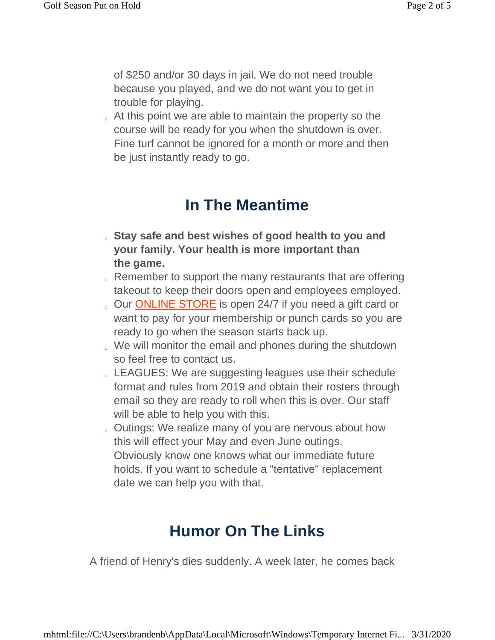of \$250 and/or 30 days in jail. We do not need trouble because you played, and we do not want you to get in trouble for playing.

 At this point we are able to maintain the property so the course will be ready for you when the shutdown is over. Fine turf cannot be ignored for a month or more and then be just instantly ready to go.

## **In The Meantime**

- **Stay safe and best wishes of good health to you and your family. Your health is more important than the game.**
- $\epsilon$  Remember to support the many restaurants that are offering takeout to keep their doors open and employees employed.
- **Our ONLINE STORE** is open 24/7 if you need a gift card or want to pay for your membership or punch cards so you are ready to go when the season starts back up.
- We will monitor the email and phones during the shutdown so feel free to contact us.
- LEAGUES: We are suggesting leagues use their schedule format and rules from 2019 and obtain their rosters through email so they are ready to roll when this is over. Our staff will be able to help you with this.
- Outings: We realize many of you are nervous about how this will effect your May and even June outings. Obviously know one knows what our immediate future holds. If you want to schedule a "tentative" replacement date we can help you with that.

## **Humor On The Links**

A friend of Henry's dies suddenly. A week later, he comes back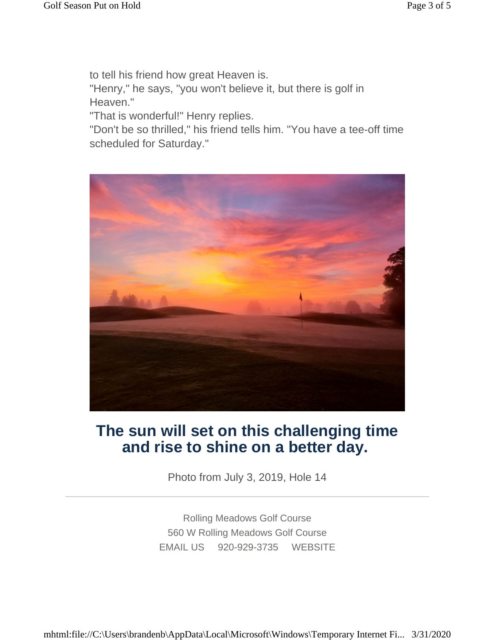to tell his friend how great Heaven is. "Henry," he says, "you won't believe it, but there is golf in Heaven."

"That is wonderful!" Henry replies.

"Don't be so thrilled," his friend tells him. "You have a tee-off time scheduled for Saturday."



## **The sun will set on this challenging time and rise to shine on a better day.**

Photo from July 3, 2019, Hole 14

Rolling Meadows Golf Course 560 W Rolling Meadows Golf Course EMAIL US 920-929-3735 WEBSITE

mhtml:file://C:\Users\brandenb\AppData\Local\Microsoft\Windows\Temporary Internet Fi... 3/31/2020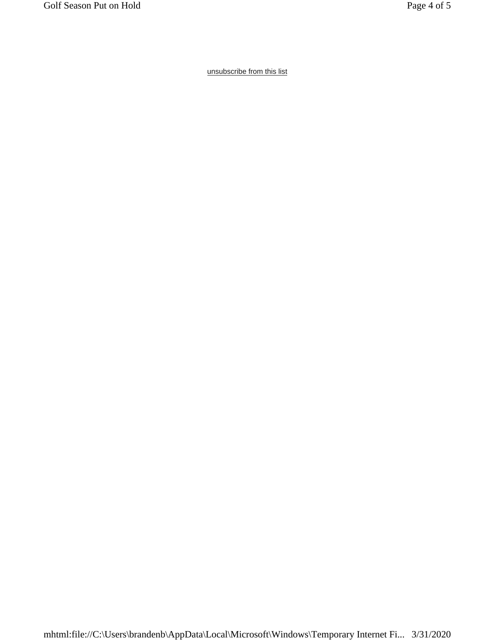unsubscribe from this list